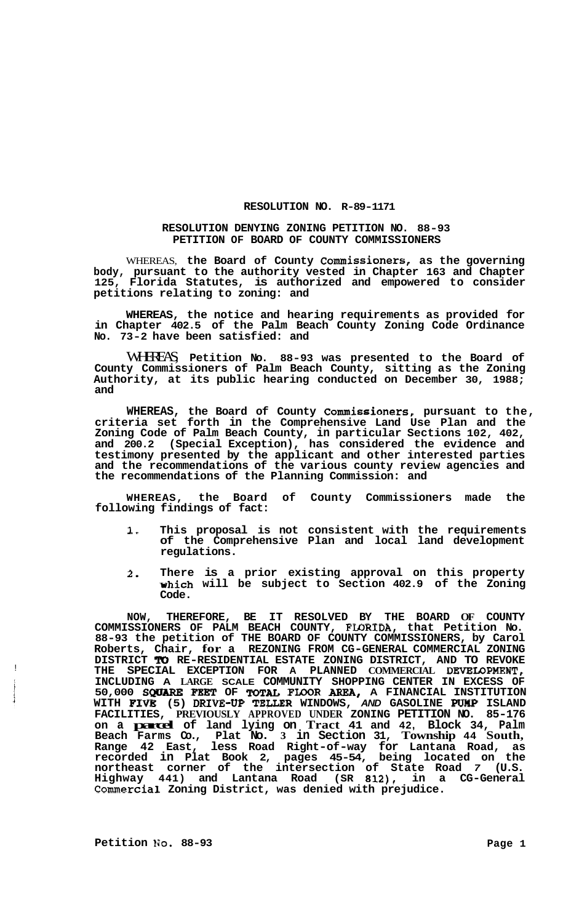## **RESOLUTION NO. R-89-1171**

## **RESOLUTION DENYING ZONING PETITION NO. 88-93 PETITION OF BOARD OF COUNTY COMMISSIONERS**

WHEREAS, **the Board of County Commissioners, as the governing body, pursuant to the authority vested in Chapter 163 and Chapter 125, Florida Statutes, is authorized and empowered to consider petitions relating to zoning: and** 

**WHEREAS, the notice and hearing requirements as provided for in Chapter 402.5 of the Palm Beach County Zoning Code Ordinance No. 73-2 have been satisfied: and** 

WHEREAS, **Petition No. 88-93 was presented to the Board of County Commissioners of Palm Beach County, sitting as the Zoning Authority, at its public hearing conducted on December 30, 1988; and** 

**WHEREAS, the Board of County Commissioners, pursuant to the, criteria set forth in the Comprehensive Land Use Plan and the Zoning Code of Palm Beach County, in particular Sections 102, 402, and 200.2 (Special Exception), has considered the evidence and testimony presented by the applicant and other interested parties and the recommendations of the various county review agencies and the recommendations of the Planning Commission: and** 

**WHEREAS, the Board of County Commissioners made the following findings of fact:** 

- **1. This proposal is not consistent with the requirements of the Comprehensive Plan and local land development regulations.**
- **2. There is a prior existing approval on this property which will be subject to Section 402.9 of the Zoning Code.**

**NOW, THEREFORE, BE IT RESOLVED BY THE BOARD OF COUNTY**  COMMISSIONERS OF PALM BEACH COUNTY, FLORIDA, that Petition No. **88-93 the petition of THE BOARD OF COUNTY COMMISSIONERS, by Carol Roberts, Chair, for a REZONING FROM CG-GENERAL COMMERCIAL ZONING**  DISTRICT **TO** RE-RESIDENTIAL ESTATE ZONING DISTRICT, AND TO REVOKE **THE SPECIAL EXCEPTION FOR A PLANNED COMMERCIAL DEVEIBPMENT, INCLUDING A LARGE SCALE COMMUNITY SHOPPING CENTER IN EXCESS OF 50,000** *SQUARE FEgT* **OF FWOR AREA, A FINANCIAL INSTITUTION WITH FIVB (5) DRIVE-UP TEWR WINDOWS,** *AND* **GASOLINE** PUMP **ISLAND FACILITIES, PREVIOUSLY APPROVED UNDER ZONING PETITION NO. 85-176 on a parcel of land lying on Tract 41 and 42, Block 34, Palm Beach Farms Co., Plat No. 3 in Section 31, Township 44 South, Range 42 East, less Road Right-of-way for Lantana Road, as recorded in Plat Book 2, pages 45-54, being located on the northeast corner of the intersection of State Road** *7* **(U.S. Highway 441) and Lantana Road (SR 812), in a CG-General Commercial Zoning District, was denied with prejudice.** 

Petition No. 88-93 Page 1

!